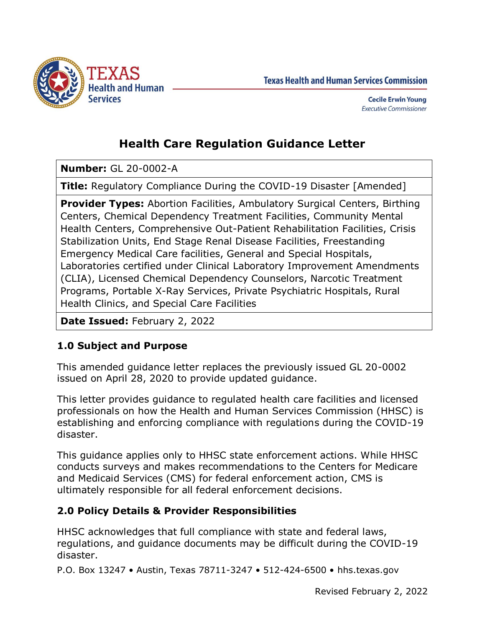

**Texas Health and Human Services Commission** 

# **Health Care Regulation Guidance Letter**

**Number:** GL 20-0002-A

**Title:** Regulatory Compliance During the COVID-19 Disaster [Amended]

**Provider Types:** Abortion Facilities, Ambulatory Surgical Centers, Birthing Centers, Chemical Dependency Treatment Facilities, Community Mental Health Centers, Comprehensive Out-Patient Rehabilitation Facilities, Crisis Stabilization Units, End Stage Renal Disease Facilities, Freestanding Emergency Medical Care facilities, General and Special Hospitals, Laboratories certified under Clinical Laboratory Improvement Amendments (CLIA), Licensed Chemical Dependency Counselors, Narcotic Treatment Programs, Portable X-Ray Services, Private Psychiatric Hospitals, Rural Health Clinics, and Special Care Facilities

**Date Issued:** February 2, 2022

# **1.0 Subject and Purpose**

This amended guidance letter replaces the previously issued GL 20-0002 issued on April 28, 2020 to provide updated guidance.

This letter provides guidance to regulated health care facilities and licensed professionals on how the Health and Human Services Commission (HHSC) is establishing and enforcing compliance with regulations during the COVID-19 disaster.

This guidance applies only to HHSC state enforcement actions. While HHSC conducts surveys and makes recommendations to the Centers for Medicare and Medicaid Services (CMS) for federal enforcement action, CMS is ultimately responsible for all federal enforcement decisions.

# **2.0 Policy Details & Provider Responsibilities**

HHSC acknowledges that full compliance with state and federal laws, regulations, and guidance documents may be difficult during the COVID-19 disaster.

P.O. Box 13247 • Austin, Texas 78711-3247 • 512-424-6500 • hhs.texas.gov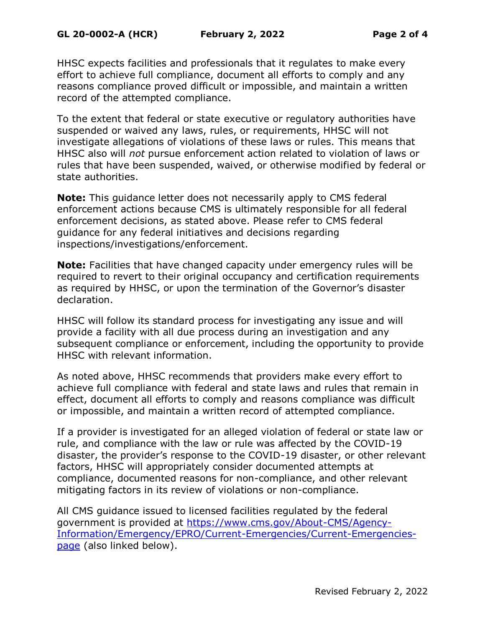HHSC expects facilities and professionals that it regulates to make every effort to achieve full compliance, document all efforts to comply and any reasons compliance proved difficult or impossible, and maintain a written record of the attempted compliance.

To the extent that federal or state executive or regulatory authorities have suspended or waived any laws, rules, or requirements, HHSC will not investigate allegations of violations of these laws or rules. This means that HHSC also will *not* pursue enforcement action related to violation of laws or rules that have been suspended, waived, or otherwise modified by federal or state authorities.

**Note:** This guidance letter does not necessarily apply to CMS federal enforcement actions because CMS is ultimately responsible for all federal enforcement decisions, as stated above. Please refer to CMS federal guidance for any federal initiatives and decisions regarding inspections/investigations/enforcement.

**Note:** Facilities that have changed capacity under emergency rules will be required to revert to their original occupancy and certification requirements as required by HHSC, or upon the termination of the Governor's disaster declaration.

HHSC will follow its standard process for investigating any issue and will provide a facility with all due process during an investigation and any subsequent compliance or enforcement, including the opportunity to provide HHSC with relevant information.

As noted above, HHSC recommends that providers make every effort to achieve full compliance with federal and state laws and rules that remain in effect, document all efforts to comply and reasons compliance was difficult or impossible, and maintain a written record of attempted compliance.

If a provider is investigated for an alleged violation of federal or state law or rule, and compliance with the law or rule was affected by the COVID-19 disaster, the provider's response to the COVID-19 disaster, or other relevant factors, HHSC will appropriately consider documented attempts at compliance, documented reasons for non-compliance, and other relevant mitigating factors in its review of violations or non-compliance.

All CMS guidance issued to licensed facilities regulated by the federal government is provided at [https://www.cms.gov/About-CMS/Agency-](https://www.cms.gov/About-CMS/Agency-Information/Emergency/EPRO/Current-Emergencies/Current-Emergencies-page)[Information/Emergency/EPRO/Current-Emergencies/Current-Emergencies](https://www.cms.gov/About-CMS/Agency-Information/Emergency/EPRO/Current-Emergencies/Current-Emergencies-page)[page](https://www.cms.gov/About-CMS/Agency-Information/Emergency/EPRO/Current-Emergencies/Current-Emergencies-page) (also linked below).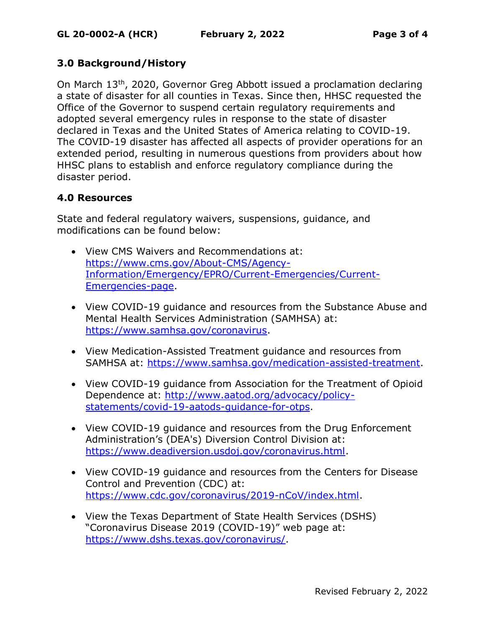#### **3.0 Background/History**

On March 13th, 2020, Governor Greg Abbott issued a proclamation declaring a state of disaster for all counties in Texas. Since then, HHSC requested the Office of the Governor to suspend certain regulatory requirements and adopted several emergency rules in response to the state of disaster declared in Texas and the United States of America relating to COVID-19. The COVID-19 disaster has affected all aspects of provider operations for an extended period, resulting in numerous questions from providers about how HHSC plans to establish and enforce regulatory compliance during the disaster period.

# **4.0 Resources**

State and federal regulatory waivers, suspensions, guidance, and modifications can be found below:

- View CMS Waivers and Recommendations at: [https://www.cms.gov/About-CMS/Agency-](https://www.cms.gov/About-CMS/Agency-Information/Emergency/EPRO/Current-Emergencies/Current-Emergencies-page)[Information/Emergency/EPRO/Current-Emergencies/Current-](https://www.cms.gov/About-CMS/Agency-Information/Emergency/EPRO/Current-Emergencies/Current-Emergencies-page)[Emergencies-page.](https://www.cms.gov/About-CMS/Agency-Information/Emergency/EPRO/Current-Emergencies/Current-Emergencies-page)
- View COVID-19 guidance and resources from the Substance Abuse and Mental Health Services Administration (SAMHSA) at: [https://www.samhsa.gov/coronavirus.](https://www.samhsa.gov/coronavirus)
- View Medication-Assisted Treatment guidance and resources from SAMHSA at: [https://www.samhsa.gov/medication-assisted-treatment.](https://www.samhsa.gov/medication-assisted-treatment)
- View COVID-19 guidance from Association for the Treatment of Opioid Dependence at: [http://www.aatod.org/advocacy/policy](http://www.aatod.org/advocacy/policy-statements/covid-19-aatods-guidance-for-otps)[statements/covid-19-aatods-guidance-for-otps.](http://www.aatod.org/advocacy/policy-statements/covid-19-aatods-guidance-for-otps)
- View COVID-19 guidance and resources from the Drug Enforcement Administration's (DEA's) Diversion Control Division at: [https://www.deadiversion.usdoj.gov/coronavirus.html.](https://www.deadiversion.usdoj.gov/coronavirus.html)
- View COVID-19 guidance and resources from the Centers for Disease Control and Prevention (CDC) at: [https://www.cdc.gov/coronavirus/2019-nCoV/index.html.](https://www.cdc.gov/coronavirus/2019-nCoV/index.html)
- View the Texas Department of State Health Services (DSHS) "Coronavirus Disease 2019 (COVID-19)" web page at: [https://www.dshs.texas.gov/coronavirus/.](https://www.dshs.texas.gov/coronavirus/)